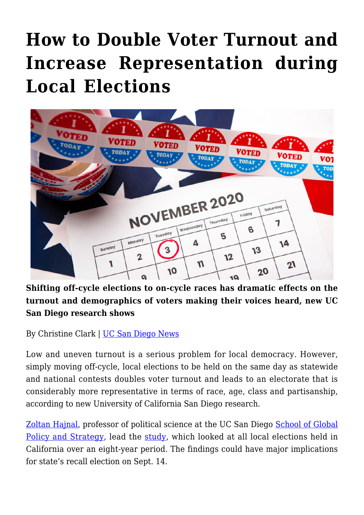## **[How to Double Voter Turnout and](https://gpsnews.ucsd.edu/how-to-double-voter-turnout-and-increase-representation-during-local-elections/) [Increase Representation during](https://gpsnews.ucsd.edu/how-to-double-voter-turnout-and-increase-representation-during-local-elections/) [Local Elections](https://gpsnews.ucsd.edu/how-to-double-voter-turnout-and-increase-representation-during-local-elections/)**



**Shifting off-cycle elections to on-cycle races has dramatic effects on the turnout and demographics of voters making their voices heard, new UC San Diego research shows**

By Christine Clark | [UC San Diego News](https://ucsdnews.ucsd.edu/pressrelease/products-displays-on-webpages-can-affect-what-you-add-to-your-cart)

Low and uneven turnout is a serious problem for local democracy. However, simply moving off-cycle, local elections to be held on the same day as statewide and national contests doubles voter turnout and leads to an electorate that is considerably more representative in terms of race, age, class and partisanship, according to new University of California San Diego research.

[Zoltan Hajnal](https://gps.ucsd.edu/faculty-directory/zoltan-hajnal.html), professor of political science at the UC San Diego [School of Global](https://gps.ucsd.edu/) [Policy and Strategy,](https://gps.ucsd.edu/) lead the [study,](https://urldefense.proofpoint.com/v2/url?u=https-3A__www.doi.org_10.1017_S0003055421000915&d=DwMFaQ&c=-35OiAkTchMrZOngvJPOeA&r=FGRanhxll_2IQkt1EwWyWg&m=vxMU_bpGQpOI1gY_cK8Pokk7FGvlkdlXgm9wXomtQyk&s=ArqSpy9z-es6_fRshcBYADkCoXchKgqDtzMKCwEn8UU&e=) which looked at all local elections held in California over an eight-year period. The findings could have major implications for state's recall election on Sept. 14.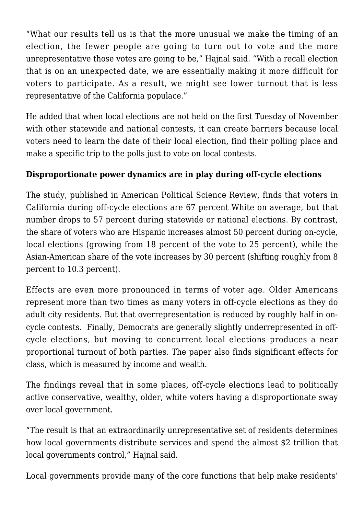"What our results tell us is that the more unusual we make the timing of an election, the fewer people are going to turn out to vote and the more unrepresentative those votes are going to be," Hajnal said. "With a recall election that is on an unexpected date, we are essentially making it more difficult for voters to participate. As a result, we might see lower turnout that is less representative of the California populace."

He added that when local elections are not held on the first Tuesday of November with other statewide and national contests, it can create barriers because local voters need to learn the date of their local election, find their polling place and make a specific trip to the polls just to vote on local contests.

## **Disproportionate power dynamics are in play during off-cycle elections**

The study, published in American Political Science Review, finds that voters in California during off-cycle elections are 67 percent White on average, but that number drops to 57 percent during statewide or national elections. By contrast, the share of voters who are Hispanic increases almost 50 percent during on-cycle, local elections (growing from 18 percent of the vote to 25 percent), while the Asian-American share of the vote increases by 30 percent (shifting roughly from 8 percent to 10.3 percent).

Effects are even more pronounced in terms of voter age. Older Americans represent more than two times as many voters in off-cycle elections as they do adult city residents. But that overrepresentation is reduced by roughly half in oncycle contests. Finally, Democrats are generally slightly underrepresented in offcycle elections, but moving to concurrent local elections produces a near proportional turnout of both parties. The paper also finds significant effects for class, which is measured by income and wealth.

The findings reveal that in some places, off-cycle elections lead to politically active conservative, wealthy, older, white voters having a disproportionate sway over local government.

"The result is that an extraordinarily unrepresentative set of residents determines how local governments distribute services and spend the almost \$2 trillion that local governments control," Hajnal said.

Local governments provide many of the core functions that help make residents'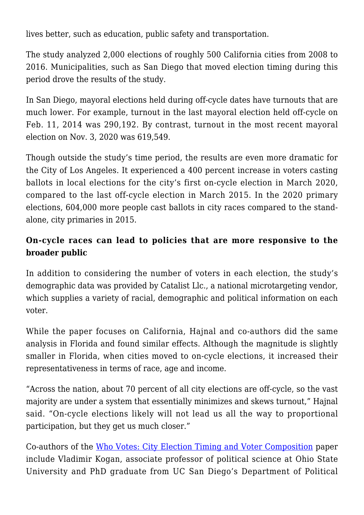lives better, such as education, public safety and transportation.

The study analyzed 2,000 elections of roughly 500 California cities from 2008 to 2016. Municipalities, such as San Diego that moved election timing during this period drove the results of the study.

In San Diego, mayoral elections held during off-cycle dates have turnouts that are much lower. For example, turnout in the last mayoral election held off-cycle on Feb. 11, 2014 was 290,192. By contrast, turnout in the most recent mayoral election on Nov. 3, 2020 was 619,549.

Though outside the study's time period, the results are even more dramatic for the City of Los Angeles. It experienced a 400 percent increase in voters casting ballots in local elections for the city's first on-cycle election in March 2020, compared to the last off-cycle election in March 2015. In the 2020 primary elections, 604,000 more people cast ballots in city races compared to the standalone, city primaries in 2015.

## **On-cycle races can lead to policies that are more responsive to the broader public**

In addition to considering the number of voters in each election, the study's demographic data was provided by Catalist Llc., a national microtargeting vendor, which supplies a variety of racial, demographic and political information on each voter.

While the paper focuses on California, Hajnal and co-authors did the same analysis in Florida and found similar effects. Although the magnitude is slightly smaller in Florida, when cities moved to on-cycle elections, it increased their representativeness in terms of race, age and income.

"Across the nation, about 70 percent of all city elections are off-cycle, so the vast majority are under a system that essentially minimizes and skews turnout," Hajnal said. "On-cycle elections likely will not lead us all the way to proportional participation, but they get us much closer."

Co-authors of the [Who Votes: City Election Timing and Voter Composition](file:///C:/Users/ceclark/AppData/Local/Temp/SSRN-id3888349.pdf) paper include Vladimir Kogan, associate professor of political science at Ohio State University and PhD graduate from UC San Diego's Department of Political